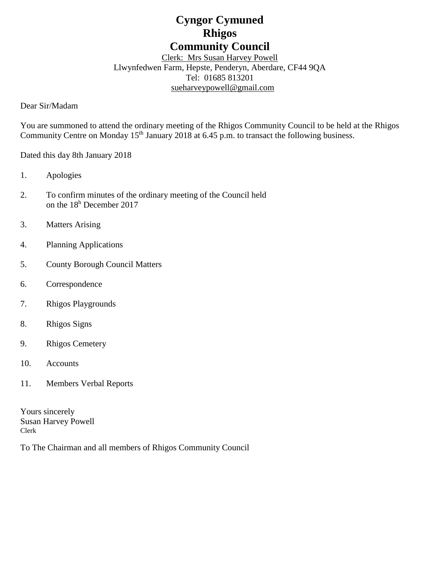# **Cyngor Cymuned Rhigos Community Council**

Clerk: Mrs Susan Harvey Powell Llwynfedwen Farm, Hepste, Penderyn, Aberdare, CF44 9QA Tel: 01685 813201 [sueharveypowell@g](mailto:sharveypowell@comin-infants.co.uk)mail.com

Dear Sir/Madam

You are summoned to attend the ordinary meeting of the Rhigos Community Council to be held at the Rhigos Community Centre on Monday 15<sup>th</sup> January 2018 at 6.45 p.m. to transact the following business.

Dated this day 8th January 2018

- 1. Apologies
- 2. To confirm minutes of the ordinary meeting of the Council held on the 18 <sup>h</sup> December 2017
- 3. Matters Arising
- 4. Planning Applications
- 5. County Borough Council Matters
- 6. Correspondence
- 7. Rhigos Playgrounds
- 8. Rhigos Signs
- 9. Rhigos Cemetery
- 10. Accounts
- 11. Members Verbal Reports

Yours sincerely Susan Harvey Powell Clerk

To The Chairman and all members of Rhigos Community Council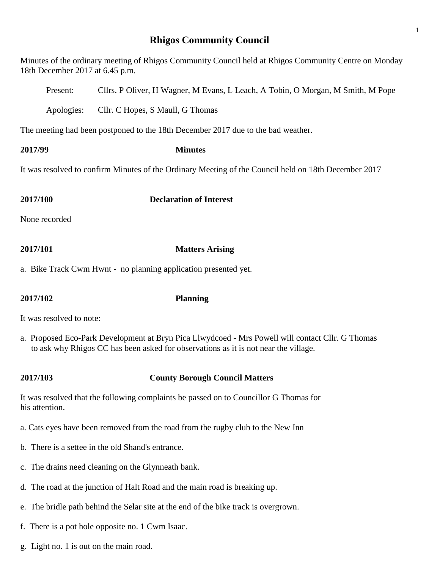# **Rhigos Community Council**

Minutes of the ordinary meeting of Rhigos Community Council held at Rhigos Community Centre on Monday 18th December 2017 at 6.45 p.m.

| Present:                                                                                             | Cllrs. P Oliver, H Wagner, M Evans, L Leach, A Tobin, O Morgan, M Smith, M Pope  |  |  |  |
|------------------------------------------------------------------------------------------------------|----------------------------------------------------------------------------------|--|--|--|
| Apologies:                                                                                           | Cllr. C Hopes, S Maull, G Thomas                                                 |  |  |  |
|                                                                                                      | The meeting had been postponed to the 18th December 2017 due to the bad weather. |  |  |  |
| 2017/99                                                                                              | <b>Minutes</b>                                                                   |  |  |  |
| It was resolved to confirm Minutes of the Ordinary Meeting of the Council held on 18th December 2017 |                                                                                  |  |  |  |
| 2017/100                                                                                             | <b>Declaration of Interest</b>                                                   |  |  |  |
| None recorded                                                                                        |                                                                                  |  |  |  |
| 2017/101                                                                                             | <b>Matters Arising</b>                                                           |  |  |  |

a. Bike Track Cwm Hwnt - no planning application presented yet.

**2017/102 Planning**

It was resolved to note:

a. Proposed Eco-Park Development at Bryn Pica Llwydcoed - Mrs Powell will contact Cllr. G Thomas to ask why Rhigos CC has been asked for observations as it is not near the village.

## **2017/103 County Borough Council Matters**

It was resolved that the following complaints be passed on to Councillor G Thomas for his attention.

- a. Cats eyes have been removed from the road from the rugby club to the New Inn
- b. There is a settee in the old Shand's entrance.
- c. The drains need cleaning on the Glynneath bank.
- d. The road at the junction of Halt Road and the main road is breaking up.
- e. The bridle path behind the Selar site at the end of the bike track is overgrown.
- f. There is a pot hole opposite no. 1 Cwm Isaac.
- g. Light no. 1 is out on the main road.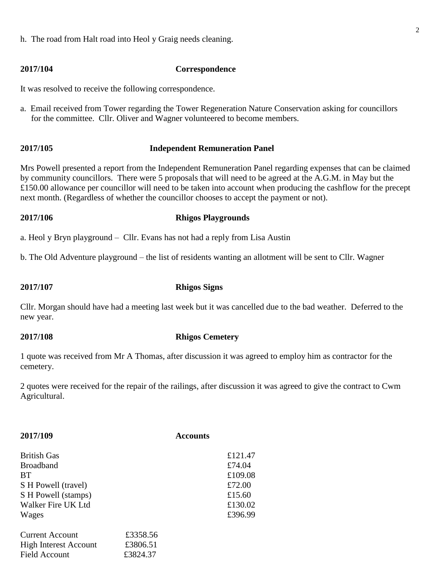h. The road from Halt road into Heol y Graig needs cleaning.

### **2017/104 Correspondence**

It was resolved to receive the following correspondence.

a. Email received from Tower regarding the Tower Regeneration Nature Conservation asking for councillors for the committee. Cllr. Oliver and Wagner volunteered to become members.

### **2017/105 Independent Remuneration Panel**

Mrs Powell presented a report from the Independent Remuneration Panel regarding expenses that can be claimed by community councillors. There were 5 proposals that will need to be agreed at the A.G.M. in May but the £150.00 allowance per councillor will need to be taken into account when producing the cashflow for the precept next month. (Regardless of whether the councillor chooses to accept the payment or not).

### **2017/106 Rhigos Playgrounds**

a. Heol y Bryn playground – Cllr. Evans has not had a reply from Lisa Austin

b. The Old Adventure playground – the list of residents wanting an allotment will be sent to Cllr. Wagner

### **2017/107 Rhigos Signs**

Cllr. Morgan should have had a meeting last week but it was cancelled due to the bad weather. Deferred to the new year.

### **2017/108 Rhigos Cemetery**

1 quote was received from Mr A Thomas, after discussion it was agreed to employ him as contractor for the cemetery.

2 quotes were received for the repair of the railings, after discussion it was agreed to give the contract to Cwm Agricultural.

| 2017/109                     | <b>Accounts</b> |         |
|------------------------------|-----------------|---------|
| <b>British Gas</b>           |                 | £121.47 |
| <b>Broadband</b>             |                 | £74.04  |
| <b>BT</b>                    |                 | £109.08 |
| S H Powell (travel)          | £72.00          |         |
| S H Powell (stamps)          | £15.60          |         |
| Walker Fire UK Ltd           | £130.02         |         |
| Wages                        |                 | £396.99 |
| <b>Current Account</b>       | £3358.56        |         |
| <b>High Interest Account</b> | £3806.51        |         |
| <b>Field Account</b>         | £3824.37        |         |